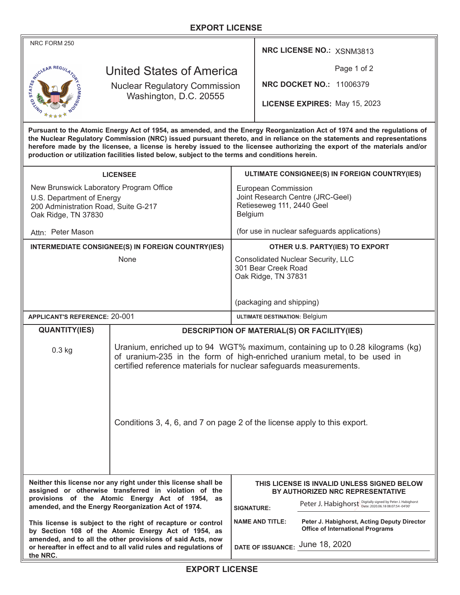## **EXPORT LICENSE**

| NRC FORM 250                                                                                                                                                                                                                                                                                                                                                                                                                                                                                           |                                                                                                                                                                                                                                 |                                                                                  |                                                                                 | NRC LICENSE NO.: XSNM3813                                                              |  |
|--------------------------------------------------------------------------------------------------------------------------------------------------------------------------------------------------------------------------------------------------------------------------------------------------------------------------------------------------------------------------------------------------------------------------------------------------------------------------------------------------------|---------------------------------------------------------------------------------------------------------------------------------------------------------------------------------------------------------------------------------|----------------------------------------------------------------------------------|---------------------------------------------------------------------------------|----------------------------------------------------------------------------------------|--|
| United States of America                                                                                                                                                                                                                                                                                                                                                                                                                                                                               |                                                                                                                                                                                                                                 |                                                                                  | Page 1 of 2                                                                     |                                                                                        |  |
| III STATES OF BRIDGE AR REGU<br><b>Nuclear Regulatory Commission</b>                                                                                                                                                                                                                                                                                                                                                                                                                                   |                                                                                                                                                                                                                                 |                                                                                  |                                                                                 | <b>NRC DOCKET NO.: 11006379</b>                                                        |  |
| Washington, D.C. 20555                                                                                                                                                                                                                                                                                                                                                                                                                                                                                 |                                                                                                                                                                                                                                 |                                                                                  | LICENSE EXPIRES: May 15, 2023                                                   |                                                                                        |  |
| Pursuant to the Atomic Energy Act of 1954, as amended, and the Energy Reorganization Act of 1974 and the regulations of<br>the Nuclear Regulatory Commission (NRC) issued pursuant thereto, and in reliance on the statements and representations<br>herefore made by the licensee, a license is hereby issued to the licensee authorizing the export of the materials and/or<br>production or utilization facilities listed below, subject to the terms and conditions herein.                        |                                                                                                                                                                                                                                 |                                                                                  |                                                                                 |                                                                                        |  |
| <b>LICENSEE</b>                                                                                                                                                                                                                                                                                                                                                                                                                                                                                        |                                                                                                                                                                                                                                 |                                                                                  | ULTIMATE CONSIGNEE(S) IN FOREIGN COUNTRY(IES)                                   |                                                                                        |  |
| New Brunswick Laboratory Program Office                                                                                                                                                                                                                                                                                                                                                                                                                                                                |                                                                                                                                                                                                                                 |                                                                                  | European Commission                                                             |                                                                                        |  |
| U.S. Department of Energy<br>200 Administration Road, Suite G-217<br>Oak Ridge, TN 37830                                                                                                                                                                                                                                                                                                                                                                                                               |                                                                                                                                                                                                                                 |                                                                                  | Joint Research Centre (JRC-Geel)<br>Retieseweg 111, 2440 Geel<br>Belgium        |                                                                                        |  |
| Attn: Peter Mason                                                                                                                                                                                                                                                                                                                                                                                                                                                                                      |                                                                                                                                                                                                                                 |                                                                                  | (for use in nuclear safeguards applications)                                    |                                                                                        |  |
| <b>INTERMEDIATE CONSIGNEE(S) IN FOREIGN COUNTRY(IES)</b>                                                                                                                                                                                                                                                                                                                                                                                                                                               |                                                                                                                                                                                                                                 | OTHER U.S. PARTY(IES) TO EXPORT                                                  |                                                                                 |                                                                                        |  |
| None                                                                                                                                                                                                                                                                                                                                                                                                                                                                                                   |                                                                                                                                                                                                                                 | Consolidated Nuclear Security, LLC<br>301 Bear Creek Road<br>Oak Ridge, TN 37831 |                                                                                 |                                                                                        |  |
|                                                                                                                                                                                                                                                                                                                                                                                                                                                                                                        |                                                                                                                                                                                                                                 | (packaging and shipping)                                                         |                                                                                 |                                                                                        |  |
| <b>APPLICANT'S REFERENCE: 20-001</b>                                                                                                                                                                                                                                                                                                                                                                                                                                                                   |                                                                                                                                                                                                                                 |                                                                                  | <b>ULTIMATE DESTINATION: Belgium</b>                                            |                                                                                        |  |
| <b>QUANTITY(IES)</b>                                                                                                                                                                                                                                                                                                                                                                                                                                                                                   |                                                                                                                                                                                                                                 | <b>DESCRIPTION OF MATERIAL(S) OR FACILITY(IES)</b>                               |                                                                                 |                                                                                        |  |
| $0.3$ kg                                                                                                                                                                                                                                                                                                                                                                                                                                                                                               | Uranium, enriched up to 94 WGT% maximum, containing up to 0.28 kilograms (kg)<br>of uranium-235 in the form of high-enriched uranium metal, to be used in<br>certified reference materials for nuclear safeguards measurements. |                                                                                  |                                                                                 |                                                                                        |  |
|                                                                                                                                                                                                                                                                                                                                                                                                                                                                                                        | Conditions 3, 4, 6, and 7 on page 2 of the license apply to this export.                                                                                                                                                        |                                                                                  |                                                                                 |                                                                                        |  |
| Neither this license nor any right under this license shall be<br>assigned or otherwise transferred in violation of the<br>provisions of the Atomic Energy Act of 1954, as<br>amended, and the Energy Reorganization Act of 1974.<br>This license is subject to the right of recapture or control<br>by Section 108 of the Atomic Energy Act of 1954, as<br>amended, and to all the other provisions of said Acts, now<br>or hereafter in effect and to all valid rules and regulations of<br>the NRC. |                                                                                                                                                                                                                                 |                                                                                  | THIS LICENSE IS INVALID UNLESS SIGNED BELOW<br>BY AUTHORIZED NRC REPRESENTATIVE |                                                                                        |  |
|                                                                                                                                                                                                                                                                                                                                                                                                                                                                                                        |                                                                                                                                                                                                                                 | <b>SIGNATURE:</b>                                                                |                                                                                 | Peter J. Habighorst Digitally signed by Peter J. Habighorst                            |  |
|                                                                                                                                                                                                                                                                                                                                                                                                                                                                                                        |                                                                                                                                                                                                                                 |                                                                                  | <b>NAME AND TITLE:</b>                                                          | Peter J. Habighorst, Acting Deputy Director<br><b>Office of International Programs</b> |  |
|                                                                                                                                                                                                                                                                                                                                                                                                                                                                                                        |                                                                                                                                                                                                                                 | DATE OF ISSUANCE: June 18, 2020                                                  |                                                                                 |                                                                                        |  |